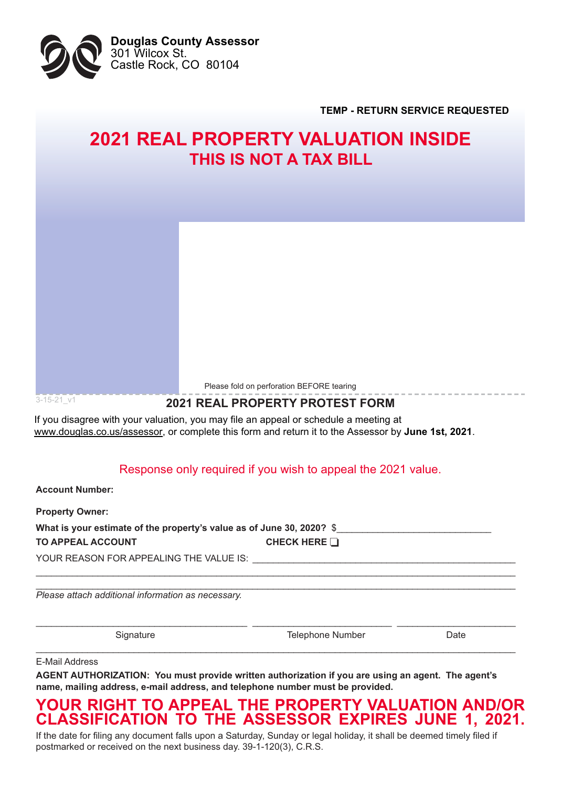

**TEMP - RETURN SERVICE REQUESTED**

# **2021 REAL PROPERTY VALUATION INSIDE THIS IS NOT A TAX BILL**

Please fold on perforation BEFORE tearing

### **2021 REAL PROPERTY PROTEST FORM**

If you disagree with your valuation, you may file an appeal or schedule a meeting at www.douglas.co.us/assessor, or complete this form and return it to the Assessor by **June 1st, 2021**.

### Response only required if you wish to appeal the 2021 value.

**Account Number:** 

 $3 - 15 - 21$  v1

**Property Owner: What is your estimate of the property's value as of June 30, 2020? \$ 70 APPEAL ACCOUNT CHECK HERE** YOUR REASON FOR APPEALING THE VALUE IS:

BBBBBBBBBBBBBBBBBBBBBBBBBBBBBBBBBBBBBBBBBBBBBBBBBBBBBBBBBBBBBBBBBBBBBBBBBBBBBBBBBBBBBBBBBBBBB

BBBBBBBBBBBBBBBBBBBBBBBBBBBBBBBBBBBBBBBBBBBBBBBBBBBBBBBBBBBBBBBBBBBBBBBBBBBBBBBBBBBBBBBBBBB

BBBBBBBBBBBBBBBBBBBBBBBBBBBBBBBBBBBBBBBBBBBBBBBBBBBBBBBBBBBBBBBBBBBBBBBBBBBBBBBBBBBBBBBBBBBBB

BBBBBBBBBBBBBBBBBBBBBBBBBBBBBBBBBBBBBBBBBBBBBBBBBBBBBBBBBBBBBBBBBBBBBBBBBBBBBBBBBBBBBBBBBBBBB *Please attach additional information as necessary.*

Signature **6. Contract 1999** 7Hotephone Number 1999 Date

E-Mail Address

AGENT AUTHORIZATION: You must provide written authorization if you are using an agent. The agent's name, mailing address, e-mail address, and telephone number must be provided.

## **YOUR RIGHT TO APPEAL THE PROPERTY VALUATION AND/OR** CLASSIFICATION TO THE ASSESSOR EXPIRES JUNE 1, 2021.

If the date for filing any document falls upon a Saturday, Sunday or legal holiday, it shall be deemed timely filed if postmarked or received on the next business day. 39-1-120(3), C.R.S.